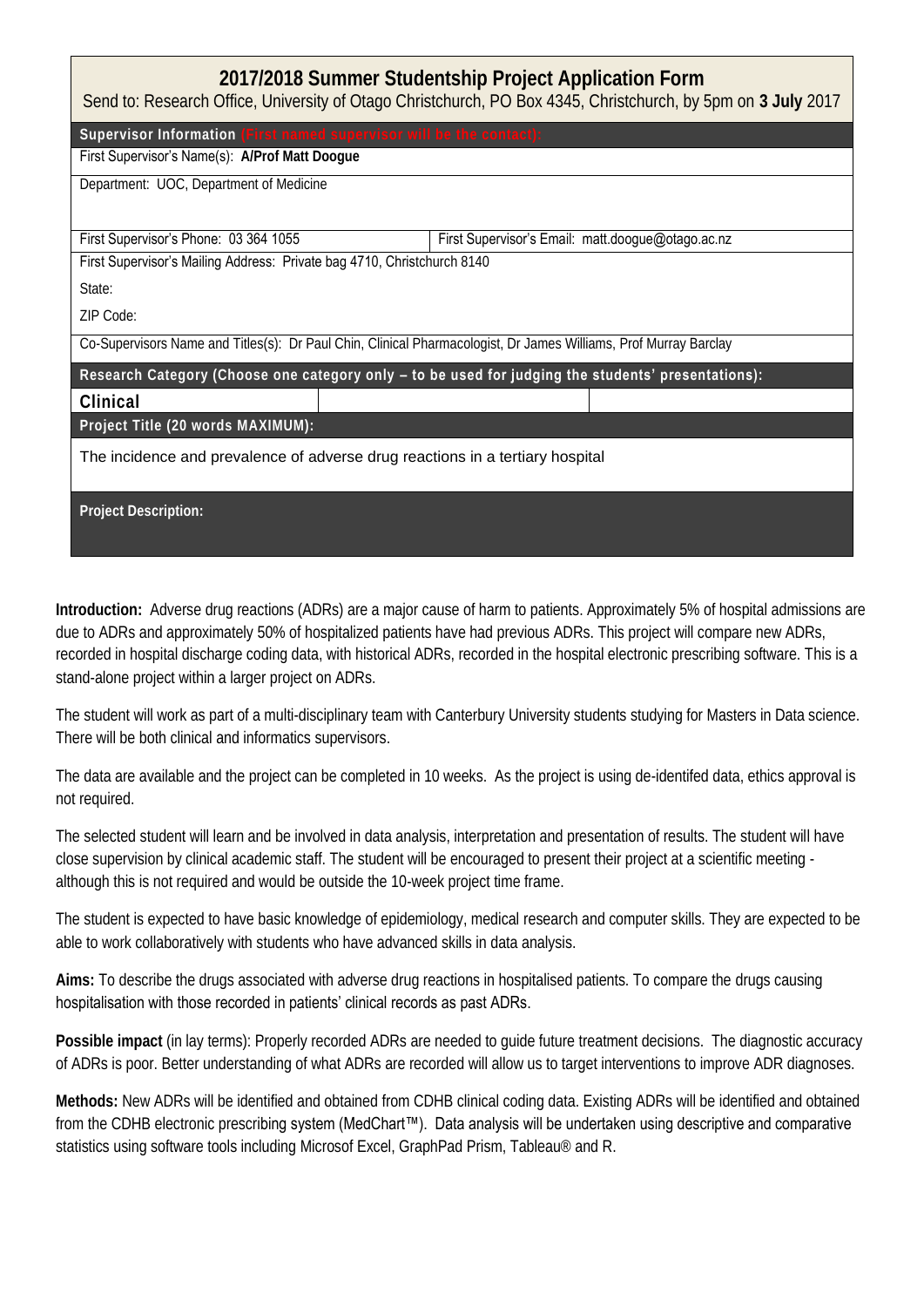| 2017/2018 Summer Studentship Project Application Form<br>Send to: Research Office, University of Otago Christchurch, PO Box 4345, Christchurch, by 5pm on 3 July 2017 |                                                   |
|-----------------------------------------------------------------------------------------------------------------------------------------------------------------------|---------------------------------------------------|
| Supervisor Information (First named supervisor will be the contact):                                                                                                  |                                                   |
| First Supervisor's Name(s): A/Prof Matt Doogue                                                                                                                        |                                                   |
| Department: UOC, Department of Medicine                                                                                                                               |                                                   |
|                                                                                                                                                                       |                                                   |
| First Supervisor's Phone: 03 364 1055                                                                                                                                 | First Supervisor's Email: matt.doogue@otago.ac.nz |
| First Supervisor's Mailing Address: Private bag 4710, Christchurch 8140                                                                                               |                                                   |
| State:                                                                                                                                                                |                                                   |
| 7IP Code:                                                                                                                                                             |                                                   |
| Co-Supervisors Name and Titles(s): Dr Paul Chin, Clinical Pharmacologist, Dr James Williams, Prof Murray Barclay                                                      |                                                   |
| Research Category (Choose one category only - to be used for judging the students' presentations):                                                                    |                                                   |
| Clinical                                                                                                                                                              |                                                   |
| Project Title (20 words MAXIMUM):                                                                                                                                     |                                                   |
| The incidence and prevalence of adverse drug reactions in a tertiary hospital                                                                                         |                                                   |
|                                                                                                                                                                       |                                                   |
| Project Description:                                                                                                                                                  |                                                   |
|                                                                                                                                                                       |                                                   |

**Introduction:** Adverse drug reactions (ADRs) are a major cause of harm to patients. Approximately 5% of hospital admissions are due to ADRs and approximately 50% of hospitalized patients have had previous ADRs. This project will compare new ADRs, recorded in hospital discharge coding data, with historical ADRs, recorded in the hospital electronic prescribing software. This is a stand-alone project within a larger project on ADRs.

The student will work as part of a multi-disciplinary team with Canterbury University students studying for Masters in Data science. There will be both clinical and informatics supervisors.

The data are available and the project can be completed in 10 weeks. As the project is using de-identifed data, ethics approval is not required.

The selected student will learn and be involved in data analysis, interpretation and presentation of results. The student will have close supervision by clinical academic staff. The student will be encouraged to present their project at a scientific meeting although this is not required and would be outside the 10-week project time frame.

The student is expected to have basic knowledge of epidemiology, medical research and computer skills. They are expected to be able to work collaboratively with students who have advanced skills in data analysis.

**Aims:** To describe the drugs associated with adverse drug reactions in hospitalised patients. To compare the drugs causing hospitalisation with those recorded in patients' clinical records as past ADRs.

**Possible impact** (in lay terms): Properly recorded ADRs are needed to guide future treatment decisions. The diagnostic accuracy of ADRs is poor. Better understanding of what ADRs are recorded will allow us to target interventions to improve ADR diagnoses.

**Methods:** New ADRs will be identified and obtained from CDHB clinical coding data. Existing ADRs will be identified and obtained from the CDHB electronic prescribing system (MedChart™). Data analysis will be undertaken using descriptive and comparative statistics using software tools including Microsof Excel, GraphPad Prism, Tableau® and R.